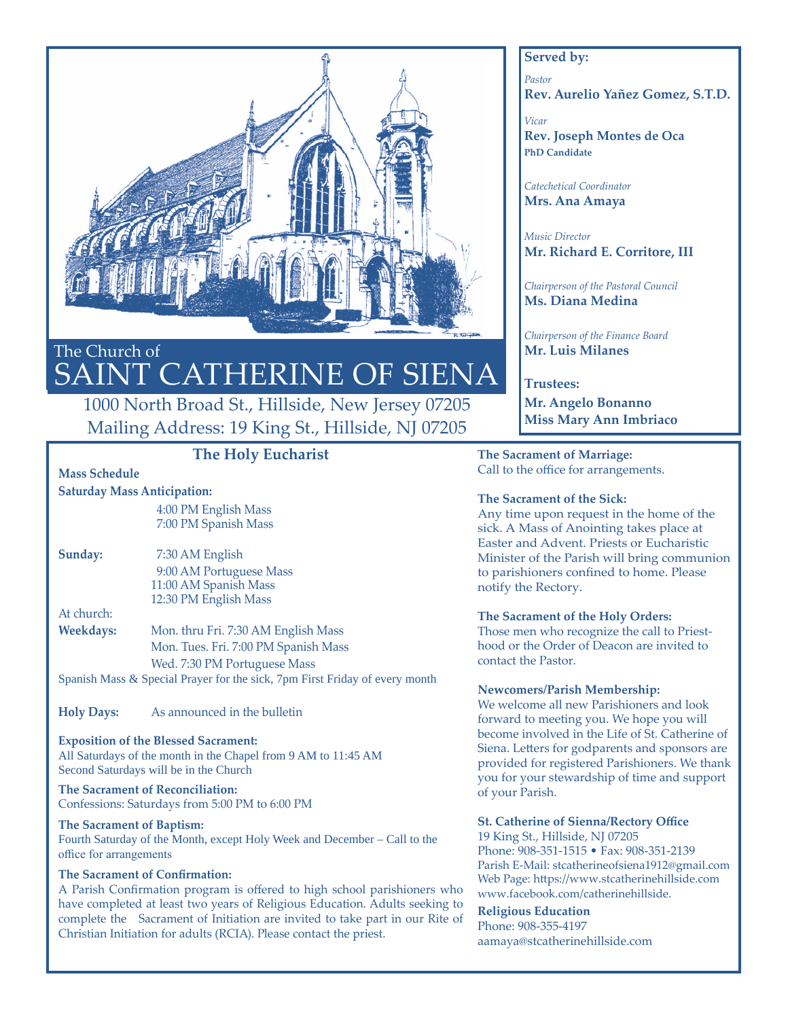

# The Church of SAINT CATHERINE OF SIENA

# 1000 North Broad St., Hillside, New Jersey 07205 Mailing Address: 19 King St., Hillside, NJ 07205

# **The Holy Eucharist**

## **Mass Schedule**

#### **Saturday Mass Anticipation:**

4:00 PM English Mass 7:00 PM Spanish Mass

**Sunday:** 7:30 AM English 9:00 AM Portuguese Mass 11:00 AM Spanish Mass 12:30 PM English Mass

At church:

## **Weekdays:** Mon. thru Fri. 7:30 AM English Mass Mon. Tues. Fri. 7:00 PM Spanish Mass Wed. 7:30 PM Portuguese Mass Spanish Mass & Special Prayer for the sick, 7pm First Friday of every month

**Holy Days:** As announced in the bulletin

#### **Exposition of the Blessed Sacrament:** All Saturdays of the month in the Chapel from 9 AM to 11:45 AM Second Saturdays will be in the Church

**The Sacrament of Reconciliation:** Confessions: Saturdays from 5:00 PM to 6:00 PM

#### **The Sacrament of Baptism:** Fourth Saturday of the Month, except Holy Week and December – Call to the office for arrangements

## **The Sacrament of Confirmation:**

A Parish Confirmation program is offered to high school parishioners who have completed at least two years of Religious Education. Adults seeking to complete the Sacrament of Initiation are invited to take part in our Rite of Christian Initiation for adults (RCIA). Please contact the priest.

## **Served by:**

*Pastor* **Rev. Aurelio Yañez Gomez, S.T.D.**

*Vicar* **Rev. Joseph Montes de Oca PhD Candidate**

*Catechetical Coordinator* **Mrs. Ana Amaya**

*Music Director* **Mr. Richard E. Corritore, III**

*Chairperson of the Pastoral Council* **Ms. Diana Medina**

*Chairperson of the Finance Board* **Mr. Luis Milanes**

**Trustees: Mr. Angelo Bonanno Miss Mary Ann Imbriaco**

**The Sacrament of Marriage:** Call to the office for arrangements.

#### **The Sacrament of the Sick:**

Any time upon request in the home of the sick. A Mass of Anointing takes place at Easter and Advent. Priests or Eucharistic Minister of the Parish will bring communion to parishioners confined to home. Please notify the Rectory.

## **The Sacrament of the Holy Orders:**

Those men who recognize the call to Priesthood or the Order of Deacon are invited to contact the Pastor.

## **Newcomers/Parish Membership:**

We welcome all new Parishioners and look forward to meeting you. We hope you will become involved in the Life of St. Catherine of Siena. Letters for godparents and sponsors are provided for registered Parishioners. We thank you for your stewardship of time and support of your Parish.

## **St. Catherine of Sienna/Rectory Office**

19 King St., Hillside, NJ 07205 Phone: 908-351-1515 • Fax: 908-351-2139 Parish E-Mail: stcatherineofsiena1912@gmail.com Web Page: https://www.stcatherinehillside.com www.facebook.com/catherinehillside.

## **Religious Education**

Phone: 908-355-4197 aamaya@stcatherinehillside.com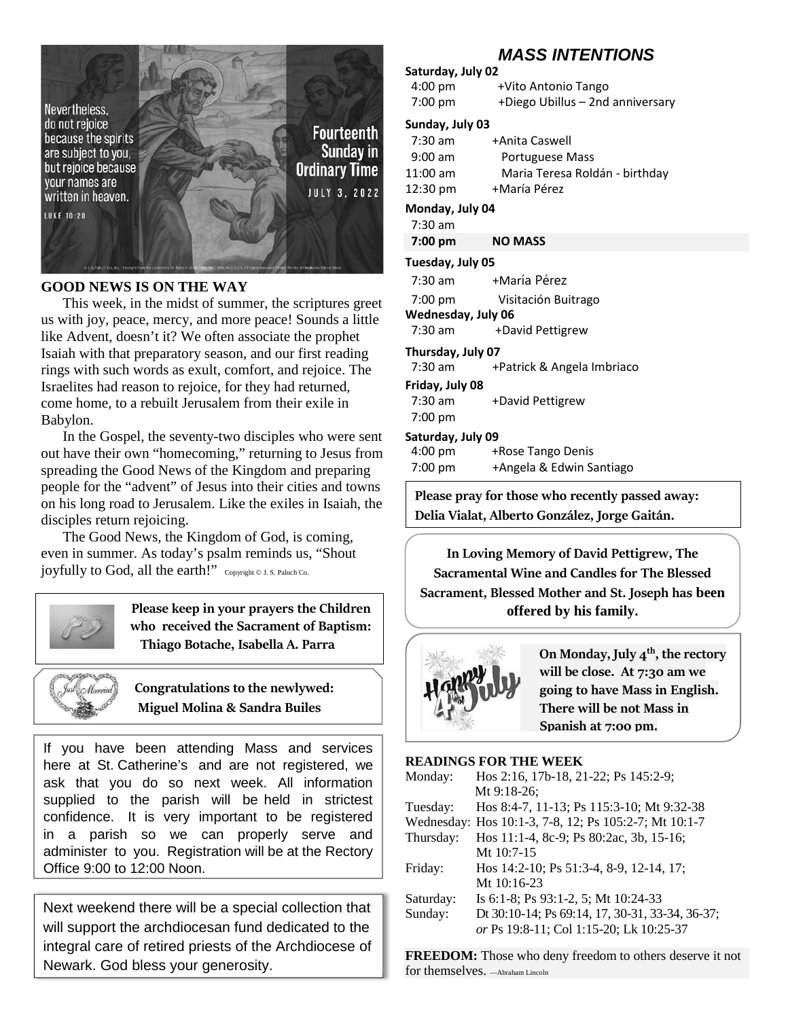

## **GOOD NEWS IS ON THE WAY**

This week, in the midst of summer, the scriptures greet us with joy, peace, mercy, and more peace! Sounds a little like Advent, doesn't it? We often associate the prophet Isaiah with that preparatory season, and our first reading rings with such words as exult, comfort, and rejoice. The Israelites had reason to rejoice, for they had returned, come home, to a rebuilt Jerusalem from their exile in Babylon.

In the Gospel, the seventy-two disciples who were sent out have their own "homecoming," returning to Jesus from spreading the Good News of the Kingdom and preparing people for the "advent" of Jesus into their cities and towns on his long road to Jerusalem. Like the exiles in Isaiah, the disciples return rejoicing.

The Good News, the Kingdom of God, is coming, even in summer. As today's psalm reminds us, "Shout joyfully to God, all the earth!" Copyright © J. S. Paluch Co.

## **Please keep in your prayers the Children who received the Sacrament of Baptism: Thiago Botache, Isabella A. Parra**



 **Congratulations to the newlywed: Miguel Molina & Sandra Builes**

If you have been attending Mass and services here at St. Catherine's and are not registered, we ask that you do so next week. All information supplied to the parish will be held in strictest confidence. It is very important to be registered in a parish so we can properly serve and administer to you. Registration will be at the Rectory Office 9:00 to 12:00 Noon.

Next weekend there will be a special collection that will support the archdiocesan fund dedicated to the integral care of retired priests of the Archdiocese of Newark. God bless your generosity.

# *MASS INTENTIONS*

# **Saturday, July 02**

4:00 pm +Vito Antonio Tango 7:00 pm +Diego Ubillus – 2nd anniversary

## **Sunday, July 03**

| $7:30$ am          | +Anita Caswell                 |
|--------------------|--------------------------------|
| $9:00$ am          | Portuguese Mass                |
| $11:00$ am         | Maria Teresa Roldán - birthday |
| $12:30 \text{ pm}$ | +María Pérez                   |

#### **Monday, July 04**

7:30 am

 **7:00 pm NO MASS**

#### **Tuesday, July 05**

7:30 am +María Pérez

 7:00 pm Visitación Buitrago **Wednesday, July 06**

7:30 am +David Pettigrew

# **Thursday, July 07**

7:30 am + Patrick & Angela Imbriaco

## **Friday, July 08**

7:30 am +David Pettigrew 7:00 pm

## **Saturday, July 09**

4:00 pm +Rose Tango Denis 7:00 pm +Angela & Edwin Santiago

**Please pray for those who recently passed away: Delia Vialat, Alberto González, Jorge Gaitán.**

**In Loving Memory of David Pettigrew, The Sacramental Wine and Candles for The Blessed Sacrament, Blessed Mother and St. Joseph has been offered by his family.**



 **On Monday, July 4th, the rectory will be close. At 7:30 am we going to have Mass in English. There will be not Mass in Spanish at 7:00 pm.**

## **READINGS FOR THE WEEK**

| Monday:   | Hos 2:16, 17b-18, 21-22; Ps 145:2-9;                  |
|-----------|-------------------------------------------------------|
|           | Mt 9:18-26;                                           |
| Tuesday:  | Hos 8:4-7, 11-13; Ps 115:3-10; Mt 9:32-38             |
|           | Wednesday: Hos 10:1-3, 7-8, 12; Ps 105:2-7; Mt 10:1-7 |
| Thursday: | Hos 11:1-4, 8c-9; Ps 80:2ac, 3b, 15-16;               |
|           | Mt $10:7-15$                                          |
| Friday:   | Hos 14:2-10; Ps 51:3-4, 8-9, 12-14, 17;               |
|           | Mt $10:16-23$                                         |
| Saturday: | Is 6:1-8; Ps 93:1-2, 5; Mt 10:24-33                   |
| Sunday:   | Dt 30:10-14; Ps 69:14, 17, 30-31, 33-34, 36-37;       |
|           | or Ps 19:8-11; Col 1:15-20; Lk 10:25-37               |
|           |                                                       |

**FREEDOM:** Those who deny freedom to others deserve it not for themselves. —Abraham Lincoln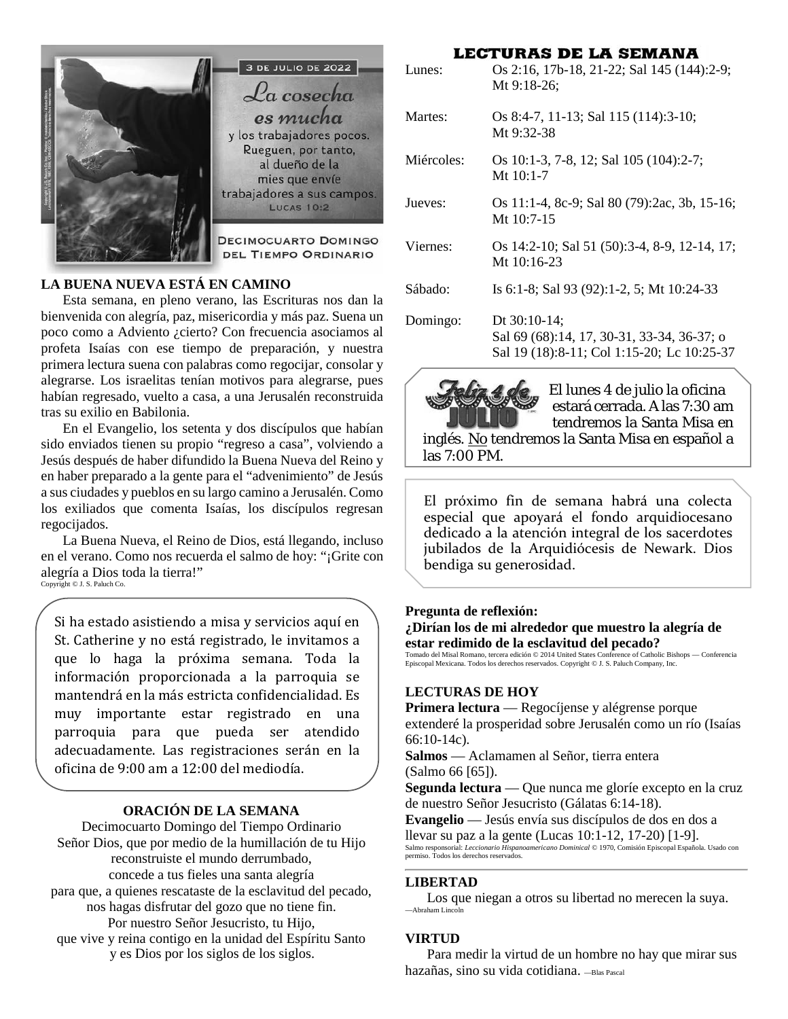

## **LA BUENA NUEVA ESTÁ EN CAMINO**

Esta semana, en pleno verano, las Escrituras nos dan la bienvenida con alegría, paz, misericordia y más paz. Suena un poco como a Adviento ¿cierto? Con frecuencia asociamos al profeta Isaías con ese tiempo de preparación, y nuestra primera lectura suena con palabras como regocijar, consolar y alegrarse. Los israelitas tenían motivos para alegrarse, pues habían regresado, vuelto a casa, a una Jerusalén reconstruida tras su exilio en Babilonia.

En el Evangelio, los setenta y dos discípulos que habían sido enviados tienen su propio "regreso a casa", volviendo a Jesús después de haber difundido la Buena Nueva del Reino y en haber preparado a la gente para el "advenimiento" de Jesús a sus ciudades y pueblos en su largo camino a Jerusalén. Como los exiliados que comenta Isaías, los discípulos regresan regocijados.

La Buena Nueva, el Reino de Dios, está llegando, incluso en el verano. Como nos recuerda el salmo de hoy: "¡Grite con alegría a Dios toda la tierra!" Copyright © J. S. Paluch Co.

Si ha estado asistiendo a misa y servicios aquí en St. Catherine y no está registrado, le invitamos a que lo haga la próxima semana. Toda la información proporcionada a la parroquia se mantendrá en la más estricta confidencialidad. Es muy importante estar registrado en una parroquia para que pueda ser atendido adecuadamente. Las registraciones serán en la oficina de 9:00 am a 12:00 del mediodía.

## **ORACIÓN DE LA SEMANA**

Decimocuarto Domingo del Tiempo Ordinario Señor Dios, que por medio de la humillación de tu Hijo reconstruiste el mundo derrumbado, concede a tus fieles una santa alegría para que, a quienes rescataste de la esclavitud del pecado, nos hagas disfrutar del gozo que no tiene fin. Por nuestro Señor Jesucristo, tu Hijo, que vive y reina contigo en la unidad del Espíritu Santo y es Dios por los siglos de los siglos.

## **LECTURAS DE LA SEMANA**

| Lunes:     | Os 2:16, 17b-18, 21-22; Sal 145 (144):2-9;<br>Mt 9:18-26;                                                |
|------------|----------------------------------------------------------------------------------------------------------|
| Martes:    | Os 8:4-7, 11-13; Sal 115 (114):3-10;<br>Mt 9:32-38                                                       |
| Miércoles: | Os 10:1-3, 7-8, 12; Sal 105 (104):2-7;<br>Mt $10:1-7$                                                    |
| Jueves:    | Os 11:1-4, 8c-9; Sal 80 (79):2ac, 3b, 15-16;<br>Mt $10:7-15$                                             |
| Viernes:   | Os 14:2-10; Sal 51 (50):3-4, 8-9, 12-14, 17;<br>Mt 10:16-23                                              |
| Sábado:    | Is 6:1-8; Sal 93 (92):1-2, 5; Mt 10:24-33                                                                |
| Domingo:   | Dt 30:10-14;<br>Sal 69 (68):14, 17, 30-31, 33-34, 36-37; o<br>Sal 19 (18):8-11; Col 1:15-20; Lc 10:25-37 |



las 7:00 PM.

 El lunes 4 de julio la oficina estará cerrada. A las 7:30 am tendremos la Santa Misa en inglés. No tendremos la Santa Misa en español a

El próximo fin de semana habrá una colecta especial que apoyará el fondo arquidiocesano dedicado a la atención integral de los sacerdotes jubilados de la Arquidiócesis de Newark. Dios bendiga su generosidad.

#### **Pregunta de reflexión:**

**¿Dirían los de mi alrededor que muestro la alegría de estar redimido de la esclavitud del pecado?**

Tomado del Misal Romano, tercera edición © 2014 United States Conference of Catholic Bishops — Conferencia Episcopal Mexicana. Todos los derechos reservados. Copyright © J. S. Paluch Company, Inc.

#### **LECTURAS DE HOY**

**Primera lectura** — Regocíjense y alégrense porque extenderé la prosperidad sobre Jerusalén como un río (Isaías 66:10-14c).

**Salmos** — Aclamamen al Señor, tierra entera (Salmo 66 [65]).

**Segunda lectura** — Que nunca me gloríe excepto en la cruz de nuestro Señor Jesucristo (Gálatas 6:14-18).

**Evangelio** — Jesús envía sus discípulos de dos en dos a llevar su paz a la gente (Lucas 10:1-12, 17-20) [1-9]. Salmo responsorial: *Leccionario Hispanoamericano Dominical* © 1970, Comisión Episcopal Española. Usado con permiso. Todos los derechos reservados.

#### **LIBERTAD**

Los que niegan a otros su libertad no merecen la suya. —Abraham Lincoln

#### **VIRTUD**

Para medir la virtud de un hombre no hay que mirar sus hazañas, sino su vida cotidiana.  $-$ Blas Pascal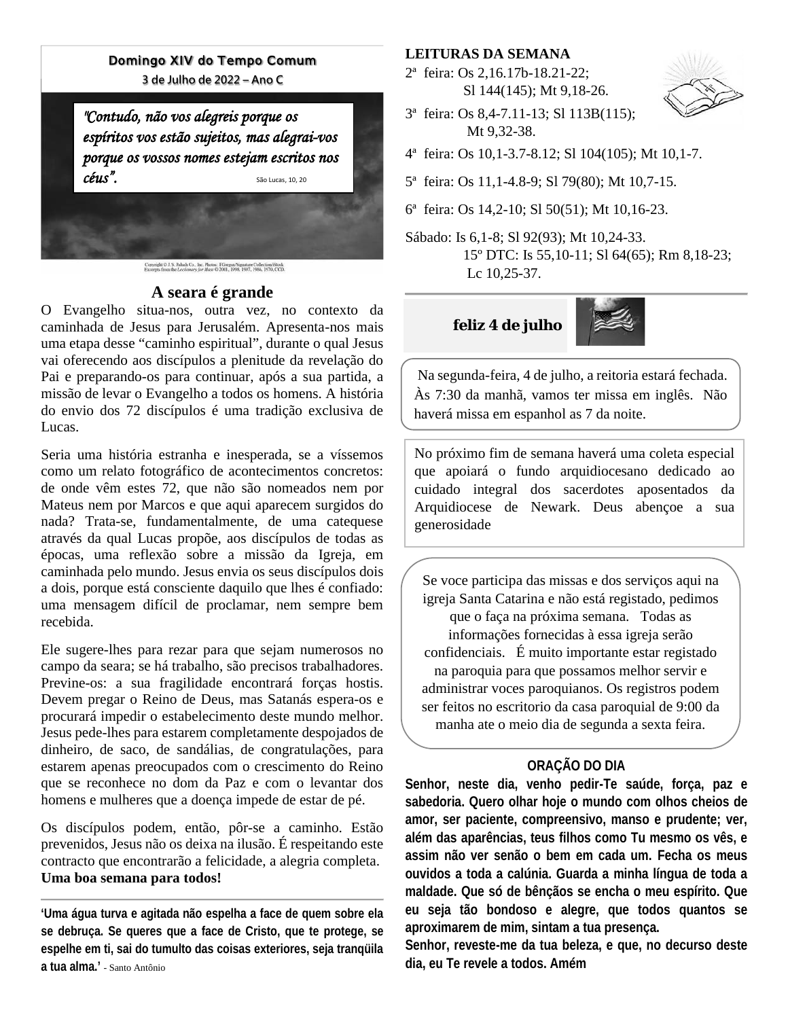## Domingo XIV do Tempo Comum

**3 de Julho de 2022 - Ano C** 

*"Contudo, não vos alegreisporque os espíritos vosestãosujeitos,mas alegrai-vos porque os vossos nomes estejam escritos nos*  $c\'eus''.$ 

Copyright © J. S. Palach Co., Inc. Photos: FGorgan/Signature Collectioni Stock<br>Excerpts from the Lectionary for Mass © 2001, 1998, 1997, 1986, 1970, CCD.

## **A seara é grande**

O Evangelho situa-nos, outra vez, no contexto da caminhada de Jesus para Jerusalém. Apresenta-nos mais uma etapa desse "caminho espiritual", durante o qual Jesus vai oferecendo aos discípulos a plenitude da revelação do Pai e preparando-os para continuar, após a sua partida, a missão de levar o Evangelho a todos os homens. A história do envio dos 72 discípulos é uma tradição exclusiva de Lucas.

Seria uma história estranha e inesperada, se a víssemos como um relato fotográfico de acontecimentos concretos: de onde vêm estes 72, que não são nomeados nem por Mateus nem por Marcos e que aqui aparecem surgidos do nada? Trata-se, fundamentalmente, de uma catequese através da qual Lucas propõe, aos discípulos de todas as épocas, uma reflexão sobre a missão da Igreja, em caminhada pelo mundo. Jesus envia os seus discípulos dois a dois, porque está consciente daquilo que lhes é confiado: uma mensagem difícil de proclamar, nem sempre bem recebida.

Ele sugere-lhes para rezar para que sejam numerosos no campo da seara; se há trabalho, são precisos trabalhadores. Previne-os: a sua fragilidade encontrará forças hostis. Devem pregar o Reino de Deus, mas Satanás espera-os e procurará impedir o estabelecimento deste mundo melhor. Jesus pede-lhes para estarem completamente despojados de dinheiro, de saco, de sandálias, de congratulações, para estarem apenas preocupados com o crescimento do Reino que se reconhece no dom da Paz e com o levantar dos homens e mulheres que a doença impede de estar de pé.

Os discípulos podem, então, pôr-se a caminho. Estão prevenidos, Jesus não os deixa na ilusão. É respeitando este contracto que encontrarão a felicidade, a alegria completa. **Uma boa semana para todos!**

**'Uma água turva e agitada não espelha a face de quem sobre ela se debruça. Se queres que a face de Cristo, que te protege, se espelhe em ti, sai do tumulto das coisas exteriores, seja tranqüila a tua alma.'** - Santo Antônio

## **LEITURAS DA SEMANA**

2ª feira: Os 2,16.17b-18.21-22; Sl 144(145); Mt 9,18-26.



- 3ª feira: Os 8,4-7.11-13; Sl 113B(115); Mt 9,32-38.
- 4ª feira: Os 10,1-3.7-8.12; Sl 104(105); Mt 10,1-7.
- 5ª feira: Os 11,1-4.8-9; Sl 79(80); Mt 10,7-15.
- 6ª feira: Os 14,2-10; Sl 50(51); Mt 10,16-23.
- Sábado: Is 6,1-8; Sl 92(93); Mt 10,24-33. 15º DTC: Is 55,10-11; Sl 64(65); Rm 8,18-23; Lc 10,25-37.

## **feliz 4 de julho**



Na segunda-feira, 4 de julho, a reitoria estará fechada. Às 7:30 da manhã, vamos ter missa em inglês. Não haverá missa em espanhol as 7 da noite.

No próximo fim de semana haverá uma coleta especial que apoiará o fundo arquidiocesano dedicado ao cuidado integral dos sacerdotes aposentados da Arquidiocese de Newark. Deus abençoe a sua generosidade

Se voce participa das missas e dos serviços aqui na igreja Santa Catarina e não está registado, pedimos que o faça na próxima semana. Todas as informações fornecidas à essa igreja serão confidenciais. É muito importante estar registado na paroquia para que possamos melhor servir e administrar voces paroquianos. Os registros podem ser feitos no escritorio da casa paroquial de 9:00 da manha ate o meio dia de segunda a sexta feira.

## **ORAÇÃO DO DIA**

**Senhor, neste dia, venho pedir-Te saúde, força, paz e sabedoria. Quero olhar hoje o mundo com olhos cheios de amor, ser paciente, compreensivo, manso e prudente; ver, além das aparências, teus filhos como Tu mesmo os vês, e assim não ver senão o bem em cada um. Fecha os meus ouvidos a toda a calúnia. Guarda a minha língua de toda a maldade. Que só de bênçãos se encha o meu espírito. Que eu seja tão bondoso e alegre, que todos quantos se aproximarem de mim, sintam a tua presença.** 

**Senhor, reveste-me da tua beleza, e que, no decurso deste dia, eu Te revele a todos. Amém**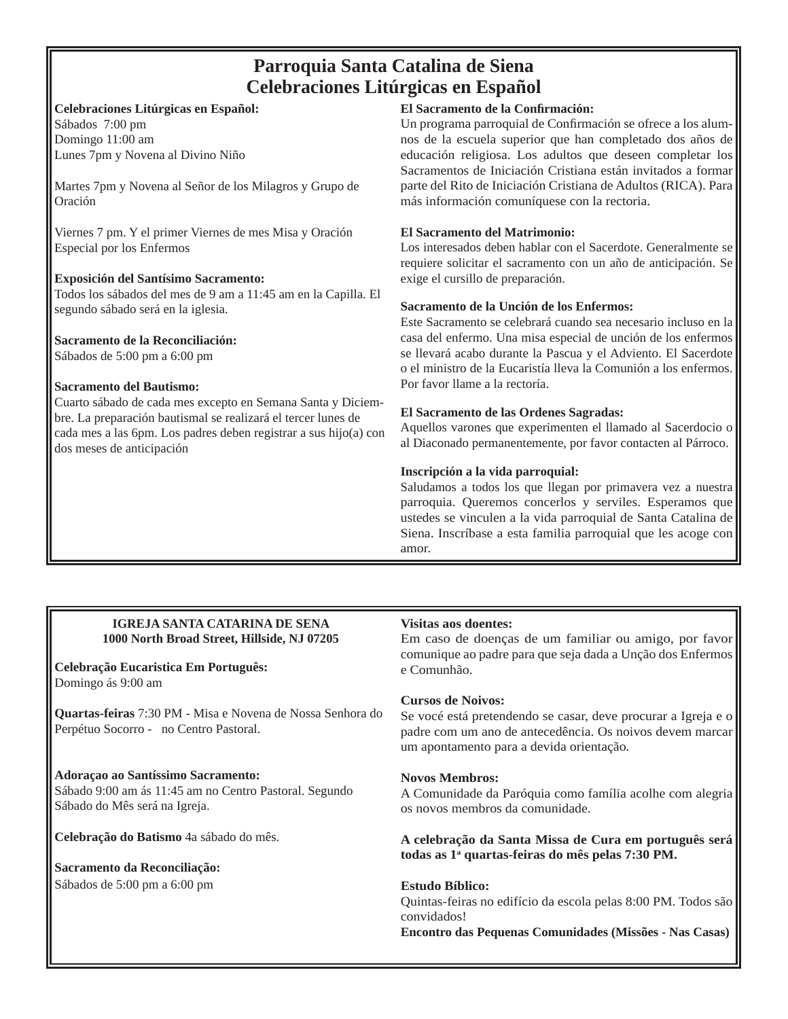# **Parroquia Santa Catalina de Siena Celebraciones Litúrgicas en Español**

## **Celebraciones Litúrgicas en Español:**

Sábados 7:00 pm Domingo 11:00 am Lunes 7pm y Novena al Divino Niño

Martes 7pm y Novena al Señor de los Milagros y Grupo de Oración

Viernes 7 pm. Y el primer Viernes de mes Misa y Oración Especial por los Enfermos

## **Exposición del Santísimo Sacramento:**

Todos los sábados del mes de 9 am a 11:45 am en la Capilla. El segundo sábado será en la iglesia.

## **Sacramento de la Reconciliación:**

Sábados de 5:00 pm a 6:00 pm

## **Sacramento del Bautismo:**

Cuarto sábado de cada mes excepto en Semana Santa y Diciembre. La preparación bautismal se realizará el tercer lunes de cada mes a las 6pm. Los padres deben registrar a sus hijo(a) con dos meses de anticipación

## **El Sacramento de la Confi rmación:**

Un programa parroquial de Confirmación se ofrece a los alumnos de la escuela superior que han completado dos años de educación religiosa. Los adultos que deseen completar los Sacramentos de Iniciación Cristiana están invitados a formar parte del Rito de Iniciación Cristiana de Adultos (RICA). Para más información comuníquese con la rectoria.

## **El Sacramento del Matrimonio:**

Los interesados deben hablar con el Sacerdote. Generalmente se requiere solicitar el sacramento con un año de anticipación. Se exige el cursillo de preparación.

## **Sacramento de la Unción de los Enfermos:**

Este Sacramento se celebrará cuando sea necesario incluso en la casa del enfermo. Una misa especial de unción de los enfermos se llevará acabo durante la Pascua y el Adviento. El Sacerdote o el ministro de la Eucaristía lleva la Comunión a los enfermos. Por favor llame a la rectoría.

## **El Sacramento de las Ordenes Sagradas:**

Aquellos varones que experimenten el llamado al Sacerdocio o al Diaconado permanentemente, por favor contacten al Párroco.

## **Inscripción a la vida parroquial:**

Saludamos a todos los que llegan por primavera vez a nuestra parroquia. Queremos concerlos y serviles. Esperamos que ustedes se vinculen a la vida parroquial de Santa Catalina de Siena. Inscríbase a esta familia parroquial que les acoge con amor.

## **IGREJA SANTA CATARINA DE SENA 1000 North Broad Street, Hillside, NJ 07205**

## **Celebração Eucaristica Em Português:**  Domingo ás 9:00 am

**Quartas-feiras** 7:30 PM - Misa e Novena de Nossa Senhora do Perpétuo Socorro - no Centro Pastoral.

## **Adoraçao ao Santíssimo Sacramento:**  Sábado 9:00 am ás 11:45 am no Centro Pastoral. Segundo Sábado do Mês será na Igreja.

**Celebração do Batismo** 4a sábado do mês.

# **Sacramento da Reconciliação:**

Sábados de 5:00 pm a 6:00 pm

## **Visitas aos doentes:**

Em caso de doenças de um familiar ou amigo, por favor comunique ao padre para que seja dada a Unção dos Enfermos e Comunhão.

## **Cursos de Noivos:**

Se vocé está pretendendo se casar, deve procurar a Igreja e o padre com um ano de antecedência. Os noivos devem marcar um apontamento para a devida orientação.

## **Novos Membros:**

A Comunidade da Paróquia como família acolhe com alegria os novos membros da comunidade.

**A celebração da Santa Missa de Cura em português será todas as 1a quartas-feiras do mês pelas 7:30 PM.**

## **Estudo Bíblico:**

Quintas-feiras no edifício da escola pelas 8:00 PM. Todos são convidados!

**Encontro das Pequenas Comunidades (Missões - Nas Casas)**